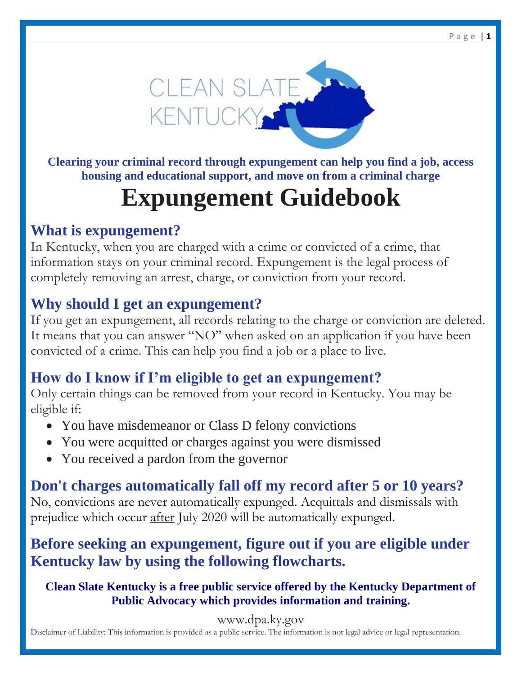

**Clearing your criminal record through expungement can help you find a job, access housing and educational support, and move on from a criminal charge**

# **Expungement Guidebook**

## **What is expungement?**

In Kentucky, when you are charged with a crime or convicted of a crime, that information stays on your criminal record. Expungement is the legal process of completely removing an arrest, charge, or conviction from your record.

## **Why should I get an expungement?**

If you get an expungement, all records relating to the charge or conviction are deleted. It means that you can answer "NO" when asked on an application if you have been convicted of a crime. This can help you find a job or a place to live.

## **How do I know if I'm eligible to get an expungement?**

Only certain things can be removed from your record in Kentucky. You may be eligible if:

- You have misdemeanor or Class D felony convictions
- You were acquitted or charges against you were dismissed
- You received a pardon from the governor

## **Don't charges automatically fall off my record after 5 or 10 years?**

No, convictions are never automatically expunged. Acquittals and dismissals with prejudice which occur after July 2020 will be automatically expunged.

## **Before seeking an expungement, figure out if you are eligible under Kentucky law by using the following flowcharts.**

## **Clean Slate Kentucky is a free public service offered by the Kentucky Department of Public Advocacy which provides information and training.**

www.dpa.ky.gov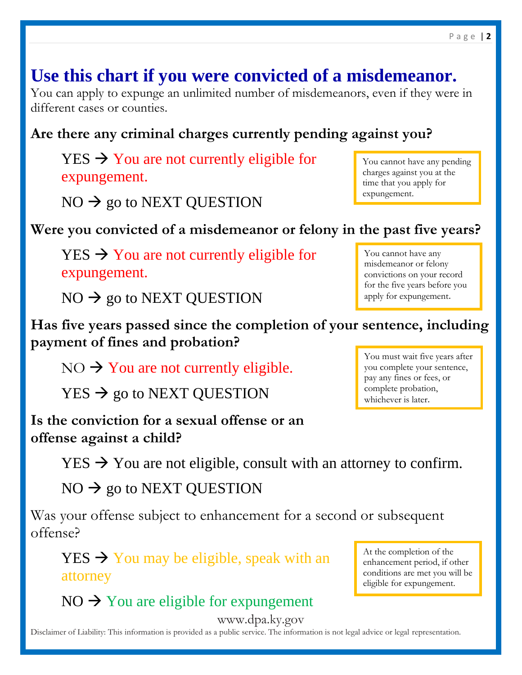## **Use this chart if you were convicted of a misdemeanor.**

You can apply to expunge an unlimited number of misdemeanors, even if they were in different cases or counties.

## **Are there any criminal charges currently pending against you?**

 $YES \rightarrow You$  are not currently eligible for expungement.

 $NO \rightarrow go$  to NEXT QUESTION

**Were you convicted of a misdemeanor or felony in the past five years?**

 $YES \rightarrow You$  are not currently eligible for expungement.

 $NO \rightarrow go$  to NEXT QUESTION

**Has five years passed since the completion of your sentence, including payment of fines and probation?**

 $NO \rightarrow You$  are not currently eligible.

 $YES \rightarrow go to NEXT QUESTION$ 

**Is the conviction for a sexual offense or an offense against a child?**

 $YES \rightarrow You$  are not eligible, consult with an attorney to confirm.

 $NO \rightarrow go$  to NEXT QUESTION

Was your offense subject to enhancement for a second or subsequent offense?

 $YES \rightarrow You$  may be eligible, speak with an attorney

 $NO \rightarrow You$  are eligible for expungement

www.dpa.ky.gov

Disclaimer of Liability: This information is provided as a public service. The information is not legal advice or legal representation.

time that you apply for expungement.

You cannot have any pending charges against you at the

You cannot have any misdemeanor or felony convictions on your record for the five years before you apply for expungement.

You must wait five years after you complete your sentence, pay any fines or fees, or complete probation, whichever is later.

At the completion of the enhancement period, if other conditions are met you will be eligible for expungement.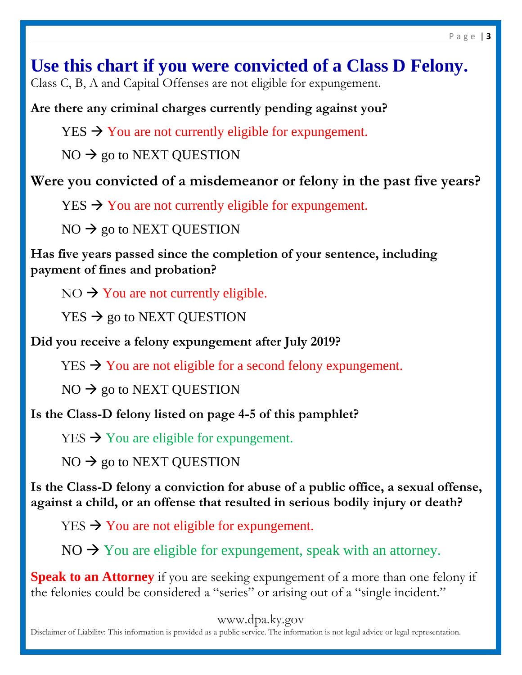**Use this chart if you were convicted of a Class D Felony.** Class C, B, A and Capital Offenses are not eligible for expungement.

**Are there any criminal charges currently pending against you?**

 $YES \rightarrow You$  are not currently eligible for expungement.

 $NO \rightarrow go$  to NEXT QUESTION

**Were you convicted of a misdemeanor or felony in the past five years?**

 $YES \rightarrow You$  are not currently eligible for expungement.

 $NO \rightarrow go$  to NEXT QUESTION

**Has five years passed since the completion of your sentence, including payment of fines and probation?**

 $NO \rightarrow You$  are not currently eligible.

 $YES \rightarrow go$  to NEXT QUESTION

**Did you receive a felony expungement after July 2019?** 

 $YES \rightarrow You$  are not eligible for a second felony expungement.

 $NO \rightarrow go$  to NEXT QUESTION

**Is the Class-D felony listed on page 4-5 of this pamphlet?**

 $YES \rightarrow You$  are eligible for expungement.

 $NO \rightarrow go$  to NEXT QUESTION

**Is the Class-D felony a conviction for abuse of a public office, a sexual offense, against a child, or an offense that resulted in serious bodily injury or death?**

 $YES \rightarrow You$  are not eligible for expungement.

 $NO \rightarrow You$  are eligible for expungement, speak with an attorney.

**Speak to an Attorney** if you are seeking expungement of a more than one felony if the felonies could be considered a "series" or arising out of a "single incident."

www.dpa.ky.gov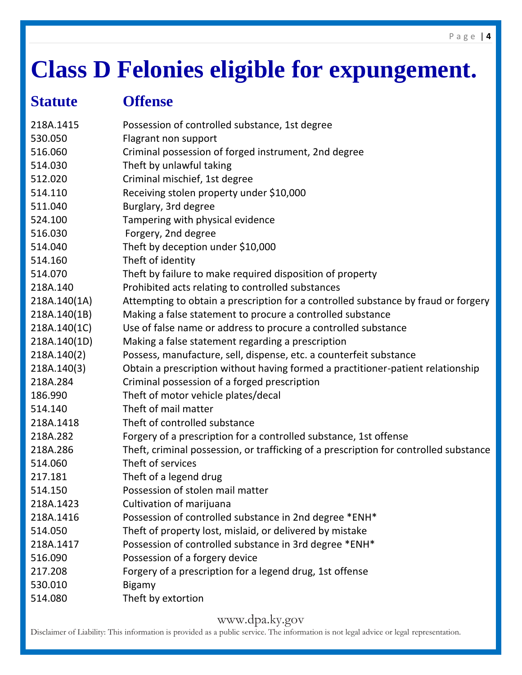# **Class D Felonies eligible for expungement.**

## **Statute Offense**

| 218A.1415    | Possession of controlled substance, 1st degree                                        |
|--------------|---------------------------------------------------------------------------------------|
| 530.050      | Flagrant non support                                                                  |
| 516.060      | Criminal possession of forged instrument, 2nd degree                                  |
| 514.030      | Theft by unlawful taking                                                              |
| 512.020      | Criminal mischief, 1st degree                                                         |
| 514.110      | Receiving stolen property under \$10,000                                              |
| 511.040      | Burglary, 3rd degree                                                                  |
| 524.100      | Tampering with physical evidence                                                      |
| 516.030      | Forgery, 2nd degree                                                                   |
| 514.040      | Theft by deception under \$10,000                                                     |
| 514.160      | Theft of identity                                                                     |
| 514.070      | Theft by failure to make required disposition of property                             |
| 218A.140     | Prohibited acts relating to controlled substances                                     |
| 218A.140(1A) | Attempting to obtain a prescription for a controlled substance by fraud or forgery    |
| 218A.140(1B) | Making a false statement to procure a controlled substance                            |
| 218A.140(1C) | Use of false name or address to procure a controlled substance                        |
| 218A.140(1D) | Making a false statement regarding a prescription                                     |
| 218A.140(2)  | Possess, manufacture, sell, dispense, etc. a counterfeit substance                    |
| 218A.140(3)  | Obtain a prescription without having formed a practitioner-patient relationship       |
| 218A.284     | Criminal possession of a forged prescription                                          |
| 186.990      | Theft of motor vehicle plates/decal                                                   |
| 514.140      | Theft of mail matter                                                                  |
| 218A.1418    | Theft of controlled substance                                                         |
| 218A.282     | Forgery of a prescription for a controlled substance, 1st offense                     |
| 218A.286     | Theft, criminal possession, or trafficking of a prescription for controlled substance |
| 514.060      | Theft of services                                                                     |
| 217.181      | Theft of a legend drug                                                                |
| 514.150      | Possession of stolen mail matter                                                      |
| 218A.1423    | Cultivation of marijuana                                                              |
| 218A.1416    | Possession of controlled substance in 2nd degree *ENH*                                |
| 514.050      | Theft of property lost, mislaid, or delivered by mistake                              |
| 218A.1417    | Possession of controlled substance in 3rd degree *ENH*                                |
| 516.090      | Possession of a forgery device                                                        |
| 217.208      | Forgery of a prescription for a legend drug, 1st offense                              |
| 530.010      | <b>Bigamy</b>                                                                         |
| 514.080      | Theft by extortion                                                                    |

## www.dpa.ky.gov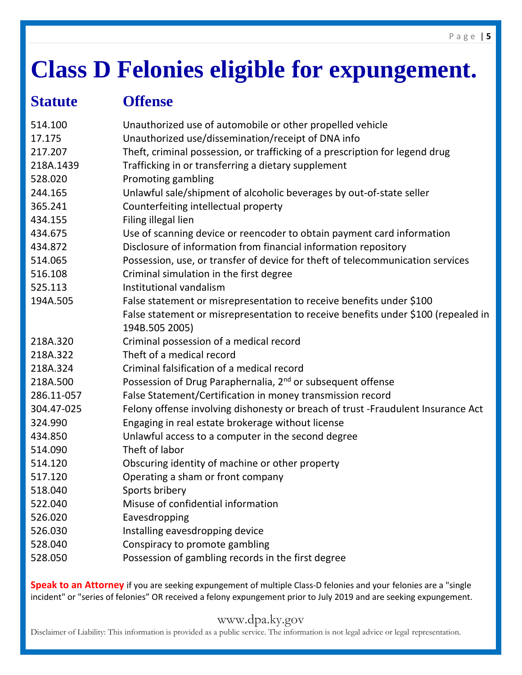# **Class D Felonies eligible for expungement.**

## **Statute Offense**

| 514.100    | Unauthorized use of automobile or other propelled vehicle                         |
|------------|-----------------------------------------------------------------------------------|
| 17.175     | Unauthorized use/dissemination/receipt of DNA info                                |
| 217.207    | Theft, criminal possession, or trafficking of a prescription for legend drug      |
| 218A.1439  | Trafficking in or transferring a dietary supplement                               |
| 528.020    | Promoting gambling                                                                |
| 244.165    | Unlawful sale/shipment of alcoholic beverages by out-of-state seller              |
| 365.241    | Counterfeiting intellectual property                                              |
| 434.155    | Filing illegal lien                                                               |
| 434.675    | Use of scanning device or reencoder to obtain payment card information            |
| 434.872    | Disclosure of information from financial information repository                   |
| 514.065    | Possession, use, or transfer of device for theft of telecommunication services    |
| 516.108    | Criminal simulation in the first degree                                           |
| 525.113    | Institutional vandalism                                                           |
| 194A.505   | False statement or misrepresentation to receive benefits under \$100              |
|            | False statement or misrepresentation to receive benefits under \$100 (repealed in |
|            | 194B.505 2005)                                                                    |
| 218A.320   | Criminal possession of a medical record                                           |
| 218A.322   | Theft of a medical record                                                         |
| 218A.324   | Criminal falsification of a medical record                                        |
| 218A.500   | Possession of Drug Paraphernalia, 2 <sup>nd</sup> or subsequent offense           |
| 286.11-057 | False Statement/Certification in money transmission record                        |
| 304.47-025 | Felony offense involving dishonesty or breach of trust -Fraudulent Insurance Act  |
| 324.990    | Engaging in real estate brokerage without license                                 |
| 434.850    | Unlawful access to a computer in the second degree                                |
| 514.090    | Theft of labor                                                                    |
| 514.120    | Obscuring identity of machine or other property                                   |
| 517.120    | Operating a sham or front company                                                 |
| 518.040    | Sports bribery                                                                    |
| 522.040    | Misuse of confidential information                                                |
| 526.020    | Eavesdropping                                                                     |
| 526.030    | Installing eavesdropping device                                                   |
| 528.040    | Conspiracy to promote gambling                                                    |
| 528.050    | Possession of gambling records in the first degree                                |

**Speak to an Attorney** if you are seeking expungement of multiple Class-D felonies and your felonies are a "single incident" or "series of felonies" OR received a felony expungement prior to July 2019 and are seeking expungement.

## www.dpa.ky.gov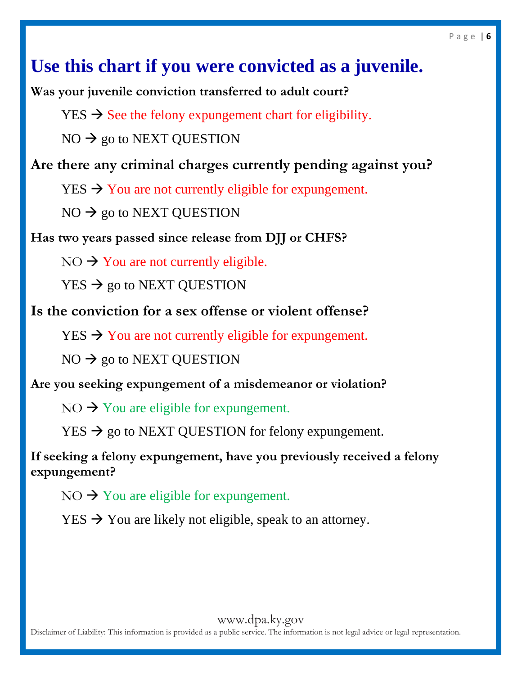## **Use this chart if you were convicted as a juvenile.**

**Was your juvenile conviction transferred to adult court?**

 $YES \rightarrow See$  the felony expungement chart for eligibility.

 $NO \rightarrow go$  to NEXT QUESTION

**Are there any criminal charges currently pending against you?**

 $YES \rightarrow You$  are not currently eligible for expungement.

 $NO \rightarrow go$  to NEXT QUESTION

**Has two years passed since release from DJJ or CHFS?**

 $NO \rightarrow You$  are not currently eligible.

 $YES \rightarrow go to NEXT QUESTION$ 

**Is the conviction for a sex offense or violent offense?**

 $YES \rightarrow You$  are not currently eligible for expungement.

 $NO \rightarrow go$  to NEXT QUESTION

**Are you seeking expungement of a misdemeanor or violation?**

 $NO \rightarrow You$  are eligible for expungement.

 $YES \rightarrow go$  to NEXT QUESTION for felony expungement.

**If seeking a felony expungement, have you previously received a felony expungement?** 

 $NO \rightarrow You$  are eligible for expungement.

 $YES \rightarrow You$  are likely not eligible, speak to an attorney.

www.dpa.ky.gov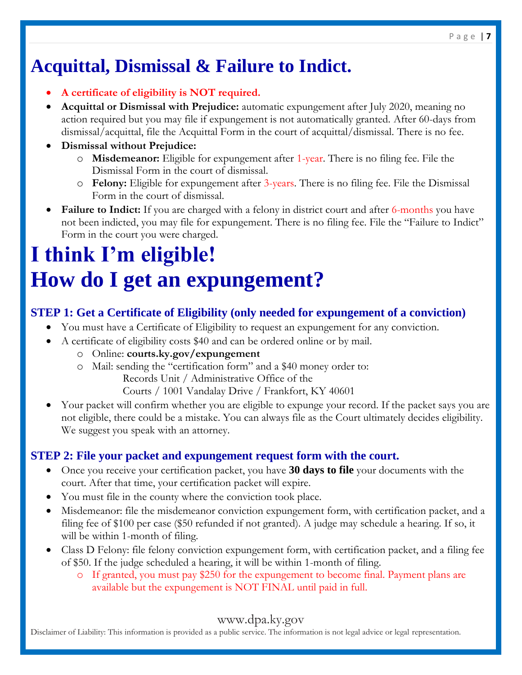## **Acquittal, Dismissal & Failure to Indict.**

- **A certificate of eligibility is NOT required.**
- **Acquittal or Dismissal with Prejudice:** automatic expungement after July 2020, meaning no action required but you may file if expungement is not automatically granted. After 60-days from dismissal/acquittal, file the Acquittal Form in the court of acquittal/dismissal. There is no fee.
- **Dismissal without Prejudice:** 
	- o **Misdemeanor:** Eligible for expungement after 1-year. There is no filing fee. File the Dismissal Form in the court of dismissal.
	- o **Felony:** Eligible for expungement after 3-years. There is no filing fee. File the Dismissal Form in the court of dismissal.
- Failure to Indict: If you are charged with a felony in district court and after 6-months you have not been indicted, you may file for expungement. There is no filing fee. File the "Failure to Indict" Form in the court you were charged.

# **I think I'm eligible! How do I get an expungement?**

## **STEP 1: Get a Certificate of Eligibility (only needed for expungement of a conviction)**

- You must have a Certificate of Eligibility to request an expungement for any conviction.
- A certificate of eligibility costs \$40 and can be ordered online or by mail.
	- o Online: **courts.ky.gov/expungement**
	- o Mail: sending the "certification form" and a \$40 money order to:

Records Unit / Administrative Office of the

Courts / 1001 Vandalay Drive / Frankfort, KY 40601

 Your packet will confirm whether you are eligible to expunge your record. If the packet says you are not eligible, there could be a mistake. You can always file as the Court ultimately decides eligibility. We suggest you speak with an attorney.

## **STEP 2: File your packet and expungement request form with the court.**

- Once you receive your certification packet, you have **30 days to file** your documents with the court. After that time, your certification packet will expire.
- You must file in the county where the conviction took place.
- Misdemeanor: file the misdemeanor conviction expungement form, with certification packet, and a filing fee of \$100 per case (\$50 refunded if not granted). A judge may schedule a hearing. If so, it will be within 1-month of filing.
- Class D Felony: file felony conviction expungement form, with certification packet, and a filing fee of \$50. If the judge scheduled a hearing, it will be within 1-month of filing.
	- o If granted, you must pay \$250 for the expungement to become final. Payment plans are available but the expungement is NOT FINAL until paid in full.

## www.dpa.ky.gov